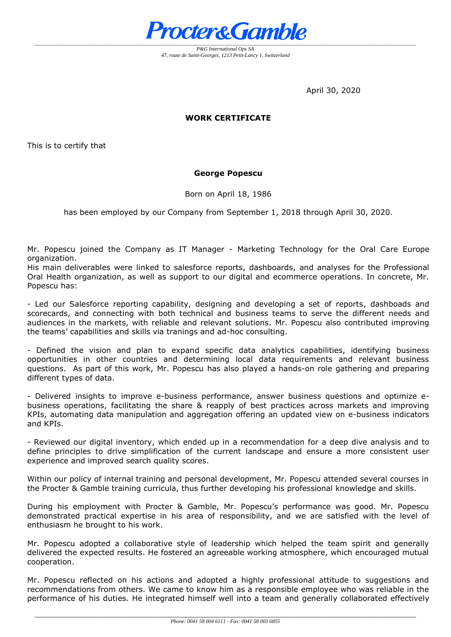

*P&G International Ops SA 47, route de Saint-Georges, 1213 Petit-Lancy 1, Switzerland*

April 30, 2020

## **WORK CERTIFICATE**

This is to certify that

## **George Popescu**

Born on April 18, 1986

has been employed by our Company from September 1, 2018 through April 30, 2020.

Mr. Popescu joined the Company as IT Manager - Marketing Technology for the Oral Care Europe organization.

His main deliverables were linked to salesforce reports, dashboards, and analyses for the Professional Oral Health organization, as well as support to our digital and ecommerce operations. In concrete, Mr. Popescu has:

- Led our Salesforce reporting capability, designing and developing a set of reports, dashboads and scorecards, and connecting with both technical and business teams to serve the different needs and audiences in the markets, with reliable and relevant solutions. Mr. Popescu also contributed improving the teams' capabilities and skills via tranings and ad-hoc consulting.

- Defined the vision and plan to expand specific data analytics capabilities, identifying business opportunities in other countries and determining local data requirements and relevant business questions. As part of this work, Mr. Popescu has also played a hands-on role gathering and preparing different types of data.

- Delivered insights to improve e-business performance, answer business questions and optimize ebusiness operations, facilitating the share & reapply of best practices across markets and improving KPIs, automating data manipulation and aggregation offering an updated view on e-business indicators and KPIs.

- Reviewed our digital inventory, which ended up in a recommendation for a deep dive analysis and to define principles to drive simplification of the current landscape and ensure a more consistent user experience and improved search quality scores.

Within our policy of internal training and personal development, Mr. Popescu attended several courses in the Procter & Gamble training curricula, thus further developing his professional knowledge and skills.

During his employment with Procter & Gamble, Mr. Popescu's performance was good. Mr. Popescu demonstrated practical expertise in his area of responsibility, and we are satisfied with the level of enthusiasm he brought to his work.

Mr. Popescu adopted a collaborative style of leadership which helped the team spirit and generally delivered the expected results. He fostered an agreeable working atmosphere, which encouraged mutual cooperation.

Mr. Popescu reflected on his actions and adopted a highly professional attitude to suggestions and recommendations from others. We came to know him as a responsible employee who was reliable in the performance of his duties. He integrated himself well into a team and generally collaborated effectively